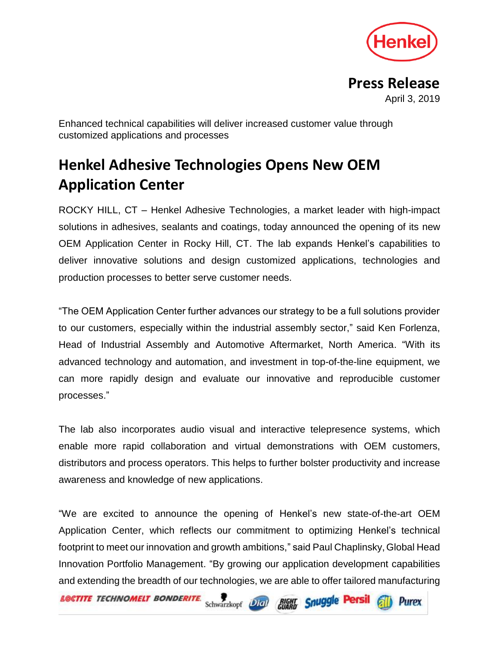

**Press Release** April 3, 2019

**Purex** 

Enhanced technical capabilities will deliver increased customer value through customized applications and processes

## **Henkel Adhesive Technologies Opens New OEM Application Center**

ROCKY HILL, CT – Henkel Adhesive Technologies, a market leader with high-impact solutions in adhesives, sealants and coatings, today announced the opening of its new OEM Application Center in Rocky Hill, CT. The lab expands Henkel's capabilities to deliver innovative solutions and design customized applications, technologies and production processes to better serve customer needs.

"The OEM Application Center further advances our strategy to be a full solutions provider to our customers, especially within the industrial assembly sector," said Ken Forlenza, Head of Industrial Assembly and Automotive Aftermarket, North America. "With its advanced technology and automation, and investment in top-of-the-line equipment, we can more rapidly design and evaluate our innovative and reproducible customer processes."

The lab also incorporates audio visual and interactive telepresence systems, which enable more rapid collaboration and virtual demonstrations with OEM customers, distributors and process operators. This helps to further bolster productivity and increase awareness and knowledge of new applications.

"We are excited to announce the opening of Henkel's new state-of-the-art OEM Application Center, which reflects our commitment to optimizing Henkel's technical footprint to meet our innovation and growth ambitions," said Paul Chaplinsky, Global Head Innovation Portfolio Management. "By growing our application development capabilities and extending the breadth of our technologies, we are able to offer tailored manufacturing

**LOCTITE TECHNOMELT BONDERITE.** 

Schwarzkopf Digit Guard Snuggle Persil